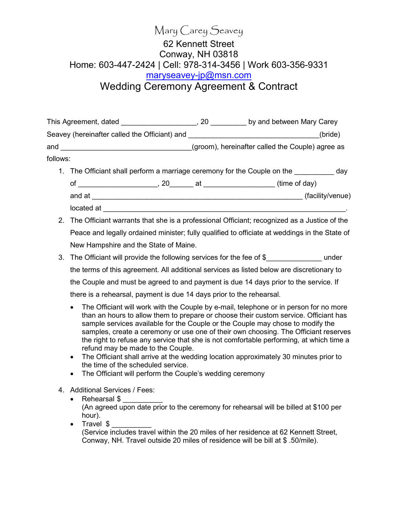## Mary Carey Seavey 62 Kennett Street Conway, NH 03818 Home: 603-447-2424 | Cell: 978-314-3456 | Work 603-356-9331 maryseavey-jp@msn.com Wedding Ceremony Agreement & Contract

This Agreement, dated \_\_\_\_\_\_\_\_\_\_\_\_\_\_\_\_\_\_\_\_\_, 20 \_\_\_\_\_\_\_\_\_\_ by and between Mary Carey Seavey (hereinafter called the Officiant) and **Seavey (hereinafter called the Officiant**) and and \_\_\_\_\_\_\_\_\_\_\_\_\_\_\_\_\_\_\_\_\_\_\_\_\_\_\_\_\_\_\_(groom), hereinafter called the Couple) agree as follows:

- 1. The Officiant shall perform a marriage ceremony for the Couple on the \_\_\_\_\_\_\_\_\_\_ day of \_\_\_\_\_\_\_\_\_\_\_\_\_\_\_\_\_\_\_\_, 20\_\_\_\_\_\_ at \_\_\_\_\_\_\_\_\_\_\_\_\_\_\_\_\_\_ (time of day) and at \_\_\_\_\_\_\_\_\_\_\_\_\_\_\_\_\_\_\_\_\_\_\_\_\_\_\_\_\_\_\_\_\_\_\_\_\_\_\_\_\_\_\_\_\_\_\_\_\_\_\_\_\_ (facility/venue) located at  $\Box$
- 2. The Officiant warrants that she is a professional Officiant; recognized as a Justice of the Peace and legally ordained minister; fully qualified to officiate at weddings in the State of New Hampshire and the State of Maine.
- 3. The Officiant will provide the following services for the fee of \$\_\_\_\_\_\_\_\_\_\_\_\_\_\_ under the terms of this agreement. All additional services as listed below are discretionary to the Couple and must be agreed to and payment is due 14 days prior to the service. If there is a rehearsal, payment is due 14 days prior to the rehearsal.
	- The Officiant will work with the Couple by e-mail, telephone or in person for no more than an hours to allow them to prepare or choose their custom service. Officiant has sample services available for the Couple or the Couple may chose to modify the samples, create a ceremony or use one of their own choosing. The Officiant reserves the right to refuse any service that she is not comfortable performing, at which time a refund may be made to the Couple.
	- The Officiant shall arrive at the wedding location approximately 30 minutes prior to the time of the scheduled service.
	- The Officiant will perform the Couple's wedding ceremony
- 4. Additional Services / Fees:
	- Rehearsal \$
		- (An agreed upon date prior to the ceremony for rehearsal will be billed at \$100 per hour).
	- Travel  $\frac{1}{2}$ (Service includes travel within the 20 miles of her residence at 62 Kennett Street, Conway, NH. Travel outside 20 miles of residence will be bill at \$ .50/mile).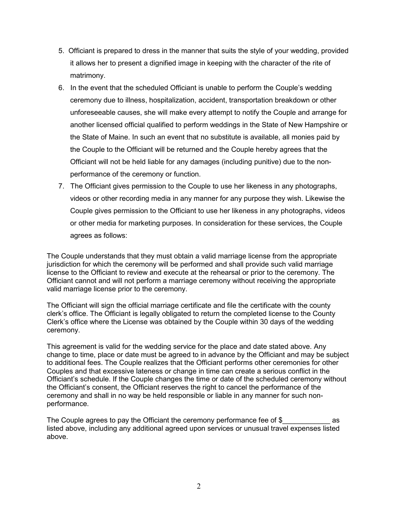- 5. Officiant is prepared to dress in the manner that suits the style of your wedding, provided it allows her to present a dignified image in keeping with the character of the rite of matrimony.
- 6. In the event that the scheduled Officiant is unable to perform the Couple's wedding ceremony due to illness, hospitalization, accident, transportation breakdown or other unforeseeable causes, she will make every attempt to notify the Couple and arrange for another licensed official qualified to perform weddings in the State of New Hampshire or the State of Maine. In such an event that no substitute is available, all monies paid by the Couple to the Officiant will be returned and the Couple hereby agrees that the Officiant will not be held liable for any damages (including punitive) due to the nonperformance of the ceremony or function.
- 7. The Officiant gives permission to the Couple to use her likeness in any photographs, videos or other recording media in any manner for any purpose they wish. Likewise the Couple gives permission to the Officiant to use her likeness in any photographs, videos or other media for marketing purposes. In consideration for these services, the Couple agrees as follows:

The Couple understands that they must obtain a valid marriage license from the appropriate jurisdiction for which the ceremony will be performed and shall provide such valid marriage license to the Officiant to review and execute at the rehearsal or prior to the ceremony. The Officiant cannot and will not perform a marriage ceremony without receiving the appropriate valid marriage license prior to the ceremony.

The Officiant will sign the official marriage certificate and file the certificate with the county clerk's office. The Officiant is legally obligated to return the completed license to the County Clerk's office where the License was obtained by the Couple within 30 days of the wedding ceremony.

This agreement is valid for the wedding service for the place and date stated above. Any change to time, place or date must be agreed to in advance by the Officiant and may be subject to additional fees. The Couple realizes that the Officiant performs other ceremonies for other Couples and that excessive lateness or change in time can create a serious conflict in the Officiant's schedule. If the Couple changes the time or date of the scheduled ceremony without the Officiant's consent, the Officiant reserves the right to cancel the performance of the ceremony and shall in no way be held responsible or liable in any manner for such nonperformance.

The Couple agrees to pay the Officiant the ceremony performance fee of  $$$  as listed above, including any additional agreed upon services or unusual travel expenses listed above.